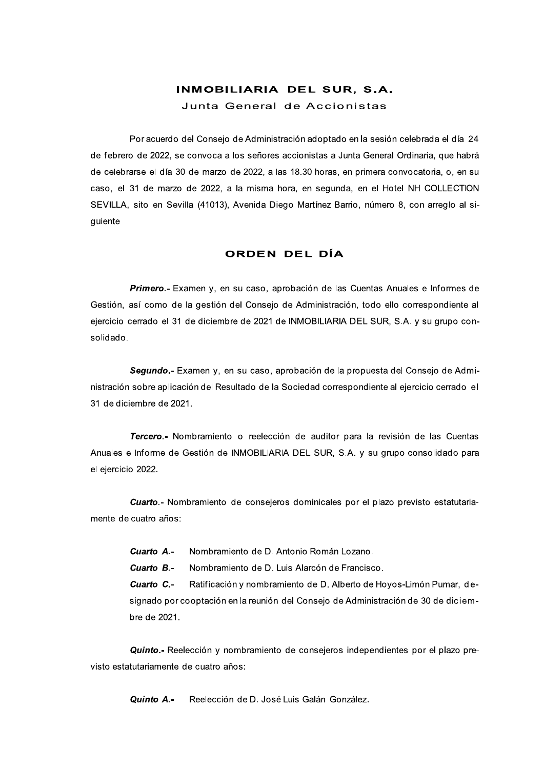## INMOBILIARIA DEL SUR, S.A. Junta General de Accionistas

Por acuerdo del Consejo de Administración adoptado en la sesión celebrada el día 24 de febrero de 2022, se convoca a los señores accionistas a Junta General Ordinaria, que habrá de celebrarse el día 30 de marzo de 2022, a las 18.30 horas, en primera convocatoria, o, en su caso, el 31 de marzo de 2022, a la misma hora, en segunda, en el Hotel NH COLLECTION SEVILLA, sito en Sevilla (41013), Avenida Diego Martínez Barrio, número 8, con arreglo al siguiente

## ORDEN DEL DÍA

Primero.- Examen y, en su caso, aprobación de las Cuentas Anuales e Informes de Gestión, así como de la gestión del Consejo de Administración, todo ello correspondiente al ejercicio cerrado el 31 de diciembre de 2021 de INMOBILIARIA DEL SUR, S.A. y su grupo consolidado.

Segundo.- Examen y, en su caso, aprobación de la propuesta del Consejo de Administración sobre aplicación del Resultado de la Sociedad correspondiente al ejercicio cerrado el 31 de diciembre de 2021.

Tercero.- Nombramiento o reelección de auditor para la revisión de las Cuentas Anuales e Informe de Gestión de INMOBILIARIA DEL SUR, S.A. y su grupo consolidado para el ejercicio 2022.

**Cuarto.** Nombramiento de consejeros dominicales por el plazo previsto estatutariamente de cuatro años:

Cuarto A.-Nombramiento de D. Antonio Román Lozano.

Cuarto B.-Nombramiento de D. Luis Alarcón de Francisco.

Cuarto C .-Ratificación y nombramiento de D. Alberto de Hoyos-Limón Pumar, designado por cooptación en la reunión del Consejo de Administración de 30 de diciembre de 2021.

Quinto.- Reelección y nombramiento de consejeros independientes por el plazo previsto estatutariamente de cuatro años:

> Reelección de D. José Luis Galán González. Quinto A -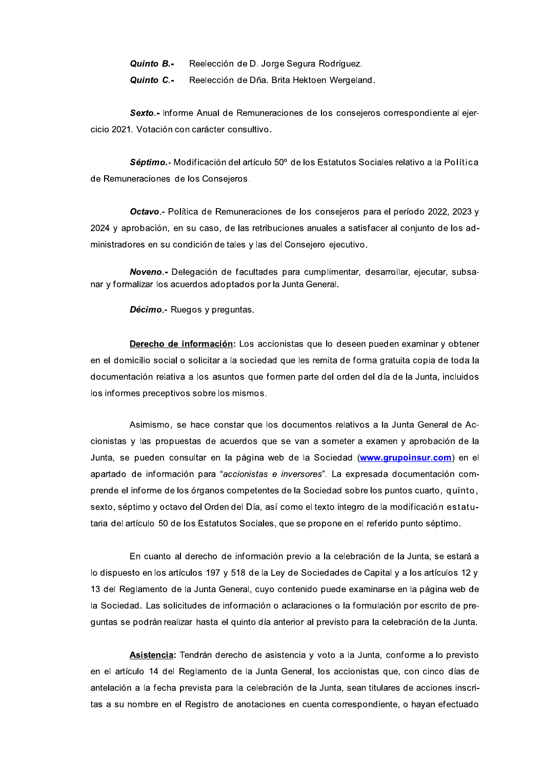Quinto B.-Reelección de D. Jorge Segura Rodríguez.

Quinto C -Reelección de Dña. Brita Hektoen Wergeland.

Sexto.- Informe Anual de Remuneraciones de los consejeros correspondiente al ejercicio 2021. Votación con carácter consultivo.

Séptimo.- Modificación del artículo 50° de los Estatutos Sociales relativo a la Política de Remuneraciones de los Consejeros.

Octavo .- Política de Remuneraciones de los consejeros para el período 2022, 2023 y 2024 y aprobación, en su caso, de las retribuciones anuales a satisfacer al conjunto de los administradores en su condición de tales y las del Consejero ejecutivo.

Noveno.- Delegación de facultades para cumplimentar, desarrollar, ejecutar, subsanar y formalizar los acuerdos adoptados por la Junta General.

Décimo.- Ruegos y preguntas.

Derecho de información: Los accionistas que lo deseen pueden examinar y obtener en el domicilio social o solicitar a la sociedad que les remita de forma gratuita copia de toda la documentación relativa a los asuntos que formen parte del orden del día de la Junta, incluidos los informes preceptivos sobre los mismos.

Asimismo, se hace constar que los documentos relativos a la Junta General de Accionistas y las propuestas de acuerdos que se van a someter a examen y aprobación de la Junta, se pueden consultar en la página web de la Sociedad (www.grupoinsur.com) en el apartado de información para "accionistas e inversores". La expresada documentación comprende el informe de los órganos competentes de la Sociedad sobre los puntos cuarto, quinto, sexto, séptimo y octavo del Orden del Día, así como el texto íntegro de la modificación estatutaria del artículo 50 de los Estatutos Sociales, que se propone en el referido punto séptimo.

En cuanto al derecho de información previo a la celebración de la Junta, se estará a lo dispuesto en los artículos 197 y 518 de la Ley de Sociedades de Capital y a los artículos 12 y 13 del Reglamento de la Junta General, cuyo contenido puede examinarse en la página web de la Sociedad. Las solicitudes de información o aclaraciones o la formulación por escrito de preguntas se podrán realizar hasta el quinto día anterior al previsto para la celebración de la Junta.

Asistencia: Tendrán derecho de asistencia y voto a la Junta, conforme a lo previsto en el artículo 14 del Reglamento de la Junta General, los accionistas que, con cinco días de antelación a la fecha prevista para la celebración de la Junta, sean titulares de acciones inscritas a su nombre en el Registro de anotaciones en cuenta correspondiente, o hayan efectuado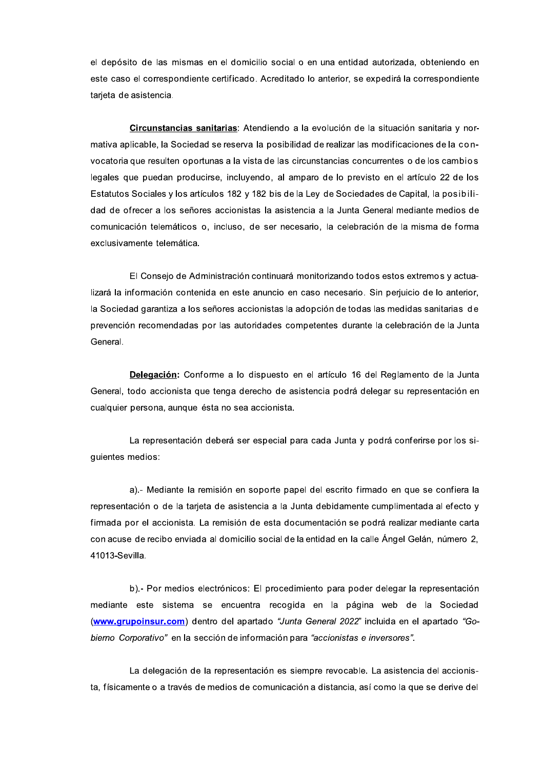el depósito de las mismas en el domicilio social o en una entidad autorizada, obteniendo en este caso el correspondiente certificado. Acreditado lo anterior, se expedirá la correspondiente tarieta de asistencia.

Circunstancias sanitarias: Atendiendo a la evolución de la situación sanitaria y normativa aplicable, la Sociedad se reserva la posibilidad de realizar las modificaciones de la convocatoria que resulten oportunas a la vista de las circunstancias concurrentes o de los cambios legales que puedan producirse, incluyendo, al amparo de lo previsto en el artículo 22 de los Estatutos Sociales y los artículos 182 y 182 bis de la Ley de Sociedades de Capital, la posibilidad de ofrecer a los señores accionistas la asistencia a la Junta General mediante medios de comunicación telemáticos o, incluso, de ser necesario, la celebración de la misma de forma exclusivamente telemática.

El Consejo de Administración continuará monitorizando todos estos extremos y actualizará la información contenida en este anuncio en caso necesario. Sin perjuicio de lo anterior, la Sociedad garantiza a los señores accionistas la adopción de todas las medidas sanitarias de prevención recomendadas por las autoridades competentes durante la celebración de la Junta General.

Delegación: Conforme a lo dispuesto en el artículo 16 del Reglamento de la Junta General, todo accionista que tenga derecho de asistencia podrá delegar su representación en cualquier persona, aunque ésta no sea accionista.

La representación deberá ser especial para cada Junta y podrá conferirse por los siguientes medios:

a).- Mediante la remisión en soporte papel del escrito firmado en que se confiera la representación o de la tarjeta de asistencia a la Junta debidamente cumplimentada al efecto y firmada por el accionista. La remisión de esta documentación se podrá realizar mediante carta con acuse de recibo enviada al domicilio social de la entidad en la calle Ángel Gelán, número 2, 41013-Sevilla.

b).- Por medios electrónicos: El procedimiento para poder delegar la representación mediante este sistema se encuentra recogida en la página web de la Sociedad (www.grupoinsur.com) dentro del apartado "Junta General 2022" incluida en el apartado "Gobierno Corporativo" en la sección de información para "accionistas e inversores".

La delegación de la representación es siempre revocable. La asistencia del accionista, físicamente o a través de medios de comunicación a distancia, así como la que se derive del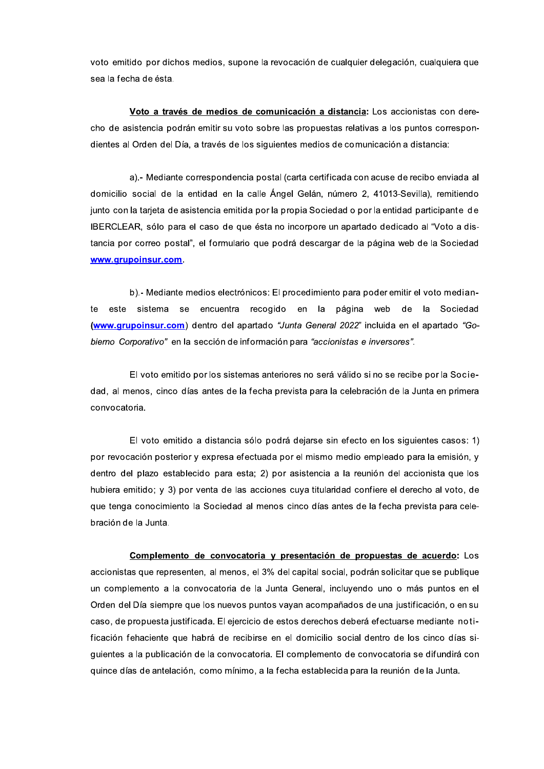voto emitido por dichos medios, supone la revocación de cualquier delegación, cualquiera que sea la fecha de ésta.

Voto a través de medios de comunicación a distancia: Los accionistas con derecho de asistencia podrán emitir su voto sobre las propuestas relativas a los puntos correspondientes al Orden del Día, a través de los siguientes medios de comunicación a distancia:

a).- Mediante correspondencia postal (carta certificada con acuse de recibo enviada al domicilio social de la entidad en la calle Ángel Gelán, número 2, 41013-Sevilla), remitiendo junto con la tarjeta de asistencia emitida por la propia Sociedad o por la entidad participante de IBERCLEAR, sólo para el caso de que ésta no incorpore un apartado dedicado al "Voto a distancia por correo postal", el formulario que podrá descargar de la página web de la Sociedad www.arupoinsur.com.

b).- Mediante medios electrónicos: El procedimiento para poder emitir el voto medianencuentra recogido en la página web de la Sociedad este sistema se te (www.grupoinsur.com) dentro del apartado "Junta General 2022" incluida en el apartado "Gobierno Corporativo" en la sección de información para "accionistas e inversores".

El voto emitido por los sistemas anteriores no será válido si no se recibe por la Sociedad, al menos, cinco días antes de la fecha prevista para la celebración de la Junta en primera convocatoria.

El voto emitido a distancia sólo podrá dejarse sin efecto en los siguientes casos: 1) por revocación posterior y expresa efectuada por el mismo medio empleado para la emisión, y dentro del plazo establecido para esta; 2) por asistencia a la reunión del accionista que los hubiera emitido; y 3) por venta de las acciones cuya titularidad confiere el derecho al voto, de que tenga conocimiento la Sociedad al menos cinco días antes de la fecha prevista para celebración de la Junta.

Complemento de convocatoria y presentación de propuestas de acuerdo: Los accionistas que representen, al menos, el 3% del capital social, podrán solicitar que se publique un complemento a la convocatoria de la Junta General, incluyendo uno o más puntos en el Orden del Día siempre que los nuevos puntos vayan acompañados de una justificación, o en su caso, de propuesta justificada. El ejercicio de estos derechos deberá efectuarse mediante notificación fehaciente que habrá de recibirse en el domicilio social dentro de los cinco días siguientes a la publicación de la convocatoria. El complemento de convocatoria se difundirá con quince días de antelación, como mínimo, a la fecha establecida para la reunión de la Junta.